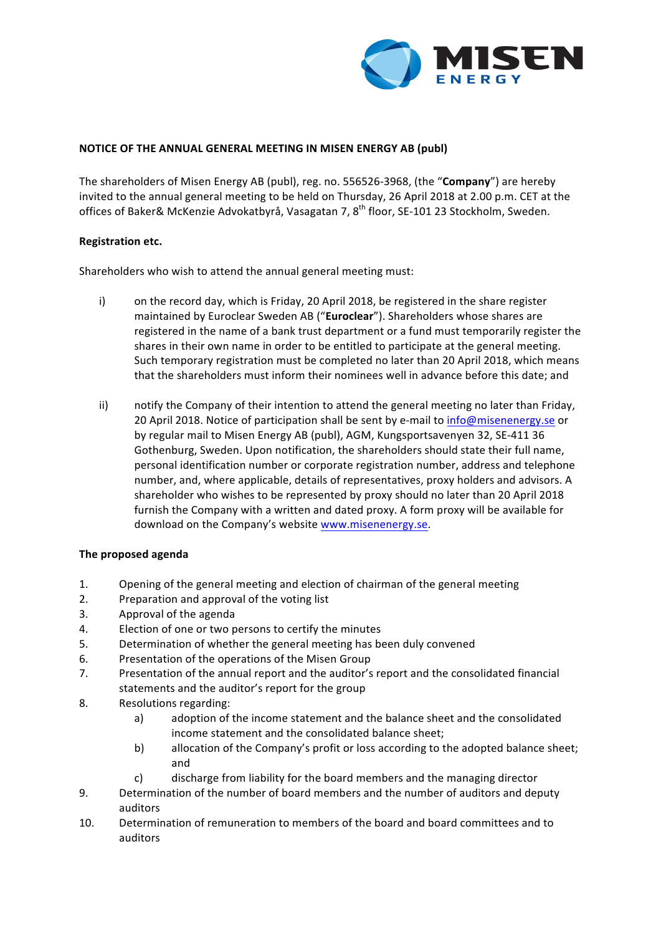

### **NOTICE OF THE ANNUAL GENERAL MEETING IN MISEN ENERGY AB (publ)**

The shareholders of Misen Energy AB (publ), reg. no. 556526-3968, (the "**Company**") are hereby invited to the annual general meeting to be held on Thursday, 26 April 2018 at 2.00 p.m. CET at the offices of Baker& McKenzie Advokatbyrå, Vasagatan 7, 8<sup>th</sup> floor, SE-101 23 Stockholm, Sweden.

#### **Registration etc.**

Shareholders who wish to attend the annual general meeting must:

- i) on the record day, which is Friday, 20 April 2018, be registered in the share register maintained by Euroclear Sweden AB ("Euroclear"). Shareholders whose shares are registered in the name of a bank trust department or a fund must temporarily register the shares in their own name in order to be entitled to participate at the general meeting. Such temporary registration must be completed no later than 20 April 2018, which means that the shareholders must inform their nominees well in advance before this date; and
- ii) notify the Company of their intention to attend the general meeting no later than Friday, 20 April 2018. Notice of participation shall be sent by e-mail to info@misenenergy.se or by regular mail to Misen Energy AB (publ), AGM, Kungsportsavenyen 32, SE-411 36 Gothenburg, Sweden. Upon notification, the shareholders should state their full name, personal identification number or corporate registration number, address and telephone number, and, where applicable, details of representatives, proxy holders and advisors. A shareholder who wishes to be represented by proxy should no later than 20 April 2018 furnish the Company with a written and dated proxy. A form proxy will be available for download on the Company's website www.misenenergy.se.

### **The proposed agenda**

- 1. Opening of the general meeting and election of chairman of the general meeting
- 2. Preparation and approval of the voting list
- 3. Approval of the agenda
- 4. Election of one or two persons to certify the minutes
- 5. Determination of whether the general meeting has been duly convened
- 6. Presentation of the operations of the Misen Group
- 7. Presentation of the annual report and the auditor's report and the consolidated financial statements and the auditor's report for the group
- 8. Resolutions regarding:
	- a) adoption of the income statement and the balance sheet and the consolidated income statement and the consolidated balance sheet;
	- b) allocation of the Company's profit or loss according to the adopted balance sheet; and
	- c) discharge from liability for the board members and the managing director
- 9. Determination of the number of board members and the number of auditors and deputy auditors
- 10. Determination of remuneration to members of the board and board committees and to auditors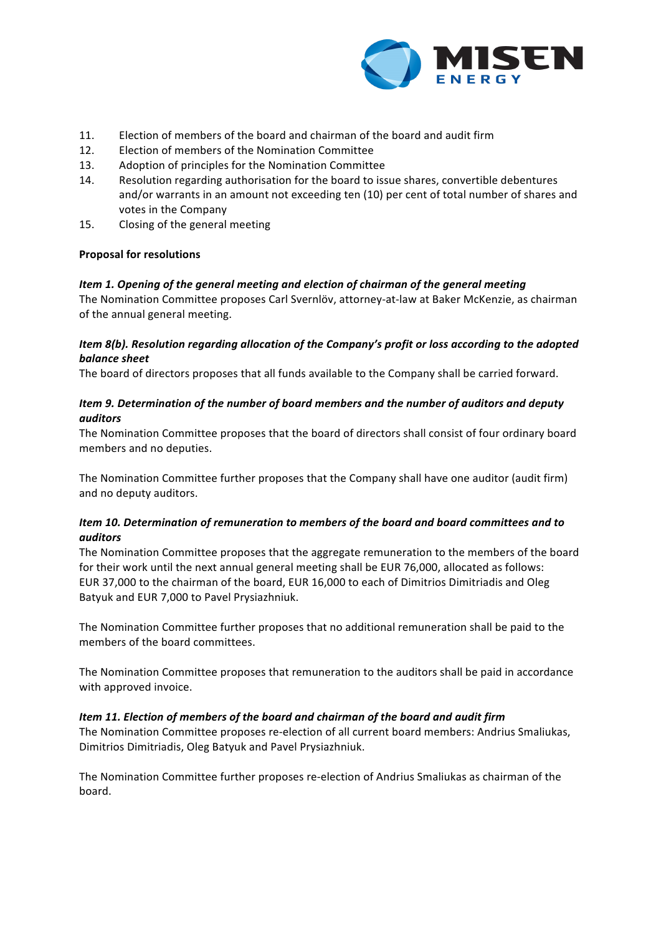

- 11. Election of members of the board and chairman of the board and audit firm
- 12. Election of members of the Nomination Committee
- 13. Adoption of principles for the Nomination Committee
- 14. Resolution regarding authorisation for the board to issue shares, convertible debentures and/or warrants in an amount not exceeding ten (10) per cent of total number of shares and votes in the Company
- 15. Closing of the general meeting

### **Proposal for resolutions**

## Item 1. Opening of the general meeting and election of chairman of the general meeting

The Nomination Committee proposes Carl Svernlöv, attorney-at-law at Baker McKenzie, as chairman of the annual general meeting.

## *Item* 8(b). Resolution regarding allocation of the Company's profit or loss according to the adopted *balance sheet*

The board of directors proposes that all funds available to the Company shall be carried forward.

# *Item* 9. Determination of the number of board members and the number of auditors and deputy *auditors*

The Nomination Committee proposes that the board of directors shall consist of four ordinary board members and no deputies.

The Nomination Committee further proposes that the Company shall have one auditor (audit firm) and no deputy auditors.

## Item 10. Determination of remuneration to members of the board and board committees and to *auditors*

The Nomination Committee proposes that the aggregate remuneration to the members of the board for their work until the next annual general meeting shall be EUR 76,000, allocated as follows: EUR 37,000 to the chairman of the board, EUR 16,000 to each of Dimitrios Dimitriadis and Oleg Batyuk and EUR 7,000 to Pavel Prysiazhniuk.

The Nomination Committee further proposes that no additional remuneration shall be paid to the members of the board committees.

The Nomination Committee proposes that remuneration to the auditors shall be paid in accordance with approved invoice.

### *Item 11. Election of members of the board and chairman of the board and audit firm*

The Nomination Committee proposes re-election of all current board members: Andrius Smaliukas, Dimitrios Dimitriadis, Oleg Batyuk and Pavel Prysiazhniuk.

The Nomination Committee further proposes re-election of Andrius Smaliukas as chairman of the board.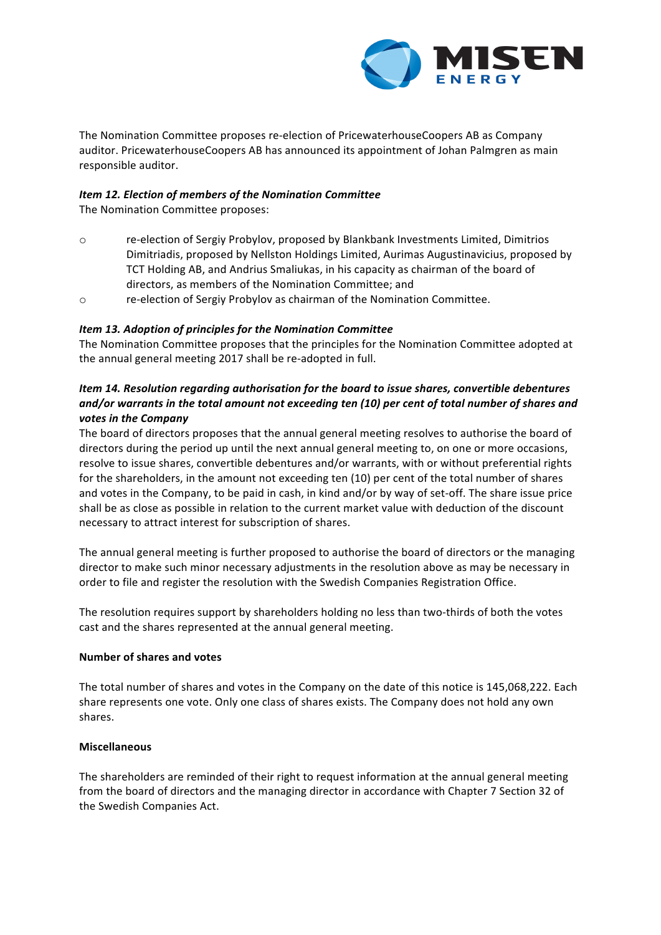

The Nomination Committee proposes re-election of PricewaterhouseCoopers AB as Company auditor. PricewaterhouseCoopers AB has announced its appointment of Johan Palmgren as main responsible auditor.

## *Item 12. Election of members of the Nomination Committee*

The Nomination Committee proposes:

- o re-election of Sergiy Probylov, proposed by Blankbank Investments Limited, Dimitrios Dimitriadis, proposed by Nellston Holdings Limited, Aurimas Augustinavicius, proposed by TCT Holding AB, and Andrius Smaliukas, in his capacity as chairman of the board of directors, as members of the Nomination Committee; and
- $\circ$  re-election of Sergiy Probylov as chairman of the Nomination Committee.

## *Item 13. Adoption of principles for the Nomination Committee*

The Nomination Committee proposes that the principles for the Nomination Committee adopted at the annual general meeting 2017 shall be re-adopted in full.

# *Item* 14. Resolution regarding authorisation for the board to issue shares, convertible debentures and/or warrants in the total amount not exceeding ten (10) per cent of total number of shares and votes in the Company

The board of directors proposes that the annual general meeting resolves to authorise the board of directors during the period up until the next annual general meeting to, on one or more occasions, resolve to issue shares, convertible debentures and/or warrants, with or without preferential rights for the shareholders, in the amount not exceeding ten (10) per cent of the total number of shares and votes in the Company, to be paid in cash, in kind and/or by way of set-off. The share issue price shall be as close as possible in relation to the current market value with deduction of the discount necessary to attract interest for subscription of shares.

The annual general meeting is further proposed to authorise the board of directors or the managing director to make such minor necessary adjustments in the resolution above as may be necessary in order to file and register the resolution with the Swedish Companies Registration Office.

The resolution requires support by shareholders holding no less than two-thirds of both the votes cast and the shares represented at the annual general meeting.

### **Number of shares and votes**

The total number of shares and votes in the Company on the date of this notice is 145,068,222. Each share represents one vote. Only one class of shares exists. The Company does not hold any own shares.

### **Miscellaneous**

The shareholders are reminded of their right to request information at the annual general meeting from the board of directors and the managing director in accordance with Chapter 7 Section 32 of the Swedish Companies Act.